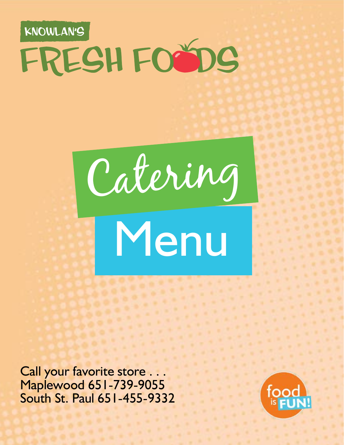# KNOWLAN'S FRESH FOODS

Catering



Call your favorite store . . . Maplewood 651-739-9055 South St. Paul 651-455-9332

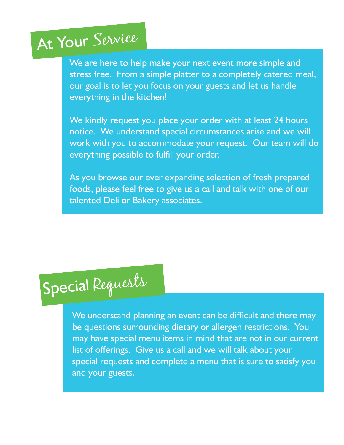## At Your Service

We are here to help make your next event more simple and stress free. From a simple platter to a completely catered meal, our goal is to let you focus on your guests and let us handle everything in the kitchen!

We kindly request you place your order with at least 24 hours notice. We understand special circumstances arise and we will work with you to accommodate your request. Our team will do everything possible to fulfill your order.

As you browse our ever expanding selection of fresh prepared foods, please feel free to give us a call and talk with one of our talented Deli or Bakery associates.

# Special Requests

We understand planning an event can be difficult and there may be questions surrounding dietary or allergen restrictions. You may have special menu items in mind that are not in our current list of offerings. Give us a call and we will talk about your special requests and complete a menu that is sure to satisfy you and your guests.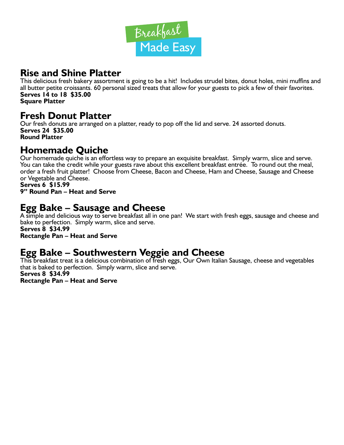

#### **Rise and Shine Platter**

This delicious fresh bakery assortment is going to be a hit! Includes strudel bites, donut holes, mini muffins and all butter petite croissants. 60 personal sized treats that allow for your guests to pick a few of their favorites. **Serves 14 to 18 \$35.00 Square Platter**

## **Fresh Donut Platter**

Our fresh donuts are arranged on a platter, ready to pop off the lid and serve. 24 assorted donuts. **Serves 24 \$35.00 Round Platter**

## **Homemade Quiche**

Our homemade quiche is an effortless way to prepare an exquisite breakfast. Simply warm, slice and serve. You can take the credit while your guests rave about this excellent breakfast entrée. To round out the meal, order a fresh fruit platter! Choose from Cheese, Bacon and Cheese, Ham and Cheese, Sausage and Cheese or Vegetable and Cheese.

**Serves 6 \$15.99 9" Round Pan – Heat and Serve**

## **Egg Bake – Sausage and Cheese**

A simple and delicious way to serve breakfast all in one pan! We start with fresh eggs, sausage and cheese and bake to perfection. Simply warm, slice and serve. **Serves 8 \$34.99**

**Rectangle Pan – Heat and Serve**

## **Egg Bake – Southwestern Veggie and Cheese**

This breakfast treat is a delicious combination of fresh eggs, Our Own Italian Sausage, cheese and vegetables that is baked to perfection. Simply warm, slice and serve. **Serves 8 \$34.99**

**Rectangle Pan – Heat and Serve**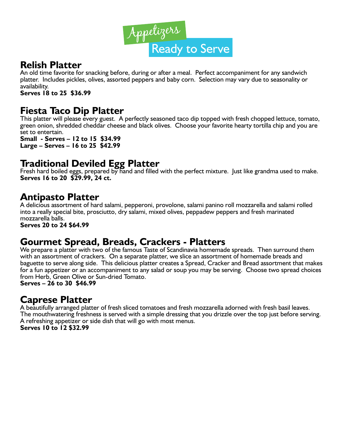

#### **Relish Platter**

An old time favorite for snacking before, during or after a meal. Perfect accompaniment for any sandwich platter. Includes pickles, olives, assorted peppers and baby corn. Selection may vary due to seasonality or availability.

**Serves 18 to 25 \$36.99**

#### **Fiesta Taco Dip Platter**

This platter will please every guest. A perfectly seasoned taco dip topped with fresh chopped lettuce, tomato, green onion, shredded cheddar cheese and black olives. Choose your favorite hearty tortilla chip and you are set to entertain.

**Small - Serves – 12 to 15 \$34.99 Large – Serves – 16 to 25 \$42.99**

## **Traditional Deviled Egg Platter**

Fresh hard boiled eggs, prepared by hand and filled with the perfect mixture. Just like grandma used to make. **Serves 16 to 20 \$29.99, 24 ct.**

#### **Antipasto Platter**

A delicious assortment of hard salami, pepperoni, provolone, salami panino roll mozzarella and salami rolled into a really special bite, prosciutto, dry salami, mixed olives, peppadew peppers and fresh marinated mozzarella balls.

**Serves 20 to 24 \$64.99**

#### **Gourmet Spread, Breads, Crackers - Platters**

We prepare a platter with two of the famous Taste of Scandinavia homemade spreads. Then surround them with an assortment of crackers. On a separate platter, we slice an assortment of homemade breads and baguette to serve along side. This delicious platter creates a Spread, Cracker and Bread assortment that makes for a fun appetizer or an accompaniment to any salad or soup you may be serving. Choose two spread choices from Herb, Green Olive or Sun-dried Tomato.

**Serves – 26 to 30 \$46.99**

#### **Caprese Platter**

A beautifully arranged platter of fresh sliced tomatoes and fresh mozzarella adorned with fresh basil leaves. The mouthwatering freshness is served with a simple dressing that you drizzle over the top just before serving. A refreshing appetizer or side dish that will go with most menus. **Serves 10 to 12 \$32.99**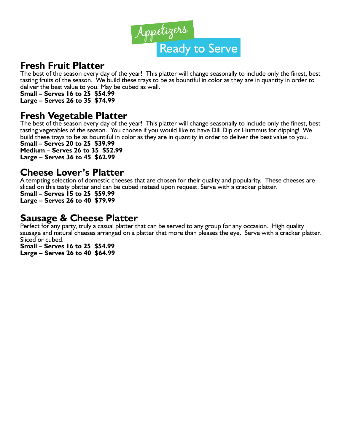

#### **Fresh Fruit Platter**

The best of the season every day of the year! This platter will change seasonally to include only the finest, best tasting fruits of the season. We build these trays to be as bountiful in color as they are in quantity in order to deliver the best value to you. May be cubed as well.

**Small – Serves 16 to 25 \$54.99**

**Large – Serves 26 to 35 \$74.99**

#### **Fresh Vegetable Platter**

The best of the season every day of the year! This platter will change seasonally to include only the finest, best tasting vegetables of the season. You choose if you would like to have Dill Dip or Hummus for dipping! We build these trays to be as bountiful in color as they are in quantity in order to deliver the best value to you. **Small – Serves 20 to 25 \$39.99**

**Medium – Serves 26 to 35 \$52.99 Large – Serves 36 to 45 \$62.99**

#### **Cheese Lover's Platter**

A tempting selection of domestic cheeses that are chosen for their quality and popularity. These cheeses are sliced on this tasty platter and can be cubed instead upon request. Serve with a cracker platter.

**Small – Serves 15 to 25 \$59.99 Large – Serves 26 to 40 \$79.99**

#### **Sausage & Cheese Platter**

Perfect for any party, truly a casual platter that can be served to any group for any occasion. High quality sausage and natural cheeses arranged on a platter that more than pleases the eye. Serve with a cracker platter. Sliced or cubed.

**Small – Serves 16 to 25 \$54.99 Large – Serves 26 to 40 \$64.99**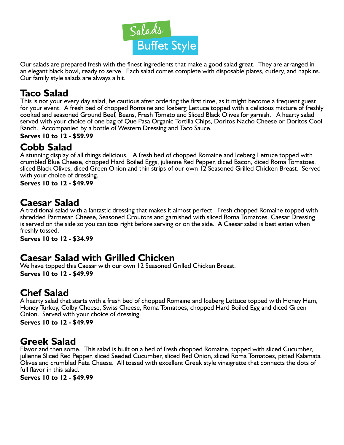

Our salads are prepared fresh with the finest ingredients that make a good salad great. They are arranged in an elegant black bowl, ready to serve. Each salad comes complete with disposable plates, cutlery, and napkins. Our family style salads are always a hit.

## **Taco Salad**

This is not your every day salad, be cautious after ordering the first time, as it might become a frequent guest for your event. A fresh bed of chopped Romaine and Iceberg Lettuce topped with a delicious mixture of freshly cooked and seasoned Ground Beef, Beans, Fresh Tomato and Sliced Black Olives for garnish. A hearty salad served with your choice of one bag of Que Pasa Organic Tortilla Chips, Doritos Nacho Cheese or Doritos Cool Ranch. Accompanied by a bottle of Western Dressing and Taco Sauce.

#### **Serves 10 to 12 - \$59.99**

#### **Cobb Salad**

A stunning display of all things delicious. A fresh bed of chopped Romaine and Iceberg Lettuce topped with crumbled Blue Cheese, chopped Hard Boiled Eggs, julienne Red Pepper, diced Bacon, diced Roma Tomatoes, sliced Black Olives, diced Green Onion and thin strips of our own 12 Seasoned Grilled Chicken Breast. Served with your choice of dressing.

**Serves 10 to 12 - \$49.99**

## **Caesar Salad**

A traditional salad with a fantastic dressing that makes it almost perfect. Fresh chopped Romaine topped with shredded Parmesan Cheese, Seasoned Croutons and garnished with sliced Roma Tomatoes. Caesar Dressing is served on the side so you can toss right before serving or on the side. A Caesar salad is best eaten when freshly tossed.

**Serves 10 to 12 - \$34.99**

#### **Caesar Salad with Grilled Chicken**

We have topped this Caesar with our own 12 Seasoned Grilled Chicken Breast. **Serves 10 to 12 - \$49.99**

#### **Chef Salad**

A hearty salad that starts with a fresh bed of chopped Romaine and Iceberg Lettuce topped with Honey Ham, Honey Turkey, Colby Cheese, Swiss Cheese, Roma Tomatoes, chopped Hard Boiled Egg and diced Green Onion. Served with your choice of dressing.

**Serves 10 to 12 - \$49.99**

## **Greek Salad**

Flavor and then some. This salad is built on a bed of fresh chopped Romaine, topped with sliced Cucumber, julienne Sliced Red Pepper, sliced Seeded Cucumber, sliced Red Onion, sliced Roma Tomatoes, pitted Kalamata Olives and crumbled Feta Cheese. All tossed with excellent Greek style vinaigrette that connects the dots of full flavor in this salad.

**Serves 10 to 12 - \$49.99**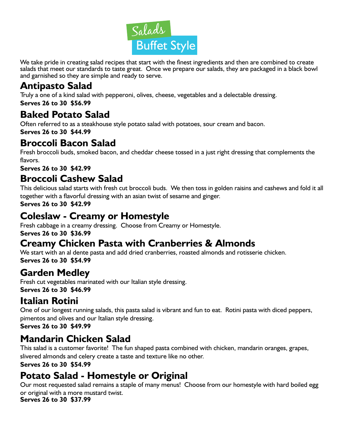

We take pride in creating salad recipes that start with the finest ingredients and then are combined to create salads that meet our standards to taste great. Once we prepare our salads, they are packaged in a black bowl and garnished so they are simple and ready to serve.

## **Antipasto Salad**

Truly a one of a kind salad with pepperoni, olives, cheese, vegetables and a delectable dressing. **Serves 26 to 30 \$56.99**

## **Baked Potato Salad**

Often referred to as a steakhouse style potato salad with potatoes, sour cream and bacon. **Serves 26 to 30 \$44.99**

## **Broccoli Bacon Salad**

Fresh broccoli buds, smoked bacon, and cheddar cheese tossed in a just right dressing that complements the flavors.

**Serves 26 to 30 \$42.99**

## **Broccoli Cashew Salad**

This delicious salad starts with fresh cut broccoli buds. We then toss in golden raisins and cashews and fold it all together with a flavorful dressing with an asian twist of sesame and ginger.

**Serves 26 to 30 \$42.99**

## **Coleslaw - Creamy or Homestyle**

Fresh cabbage in a creamy dressing. Choose from Creamy or Homestyle. **Serves 26 to 30 \$36.99**

## **Creamy Chicken Pasta with Cranberries & Almonds**

We start with an al dente pasta and add dried cranberries, roasted almonds and rotisserie chicken. **Serves 26 to 30 \$54.99**

## **Garden Medley**

Fresh cut vegetables marinated with our Italian style dressing. **Serves 26 to 30 \$46.99**

## **Italian Rotini**

One of our longest running salads, this pasta salad is vibrant and fun to eat. Rotini pasta with diced peppers, pimentos and olives and our Italian style dressing.

**Serves 26 to 30 \$49.99**

## **Mandarin Chicken Salad**

This salad is a customer favorite! The fun shaped pasta combined with chicken, mandarin oranges, grapes, slivered almonds and celery create a taste and texture like no other.

**Serves 26 to 30 \$54.99**

## **Potato Salad - Homestyle or Original**

Our most requested salad remains a staple of many menus! Choose from our homestyle with hard boiled egg or original with a more mustard twist.

**Serves 26 to 30 \$37.99**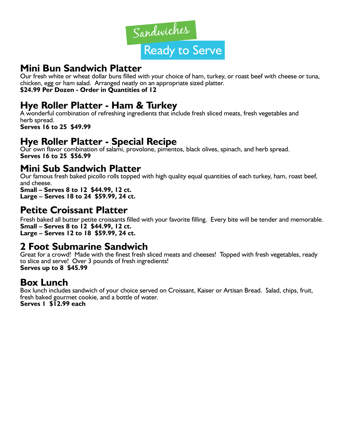

#### **Mini Bun Sandwich Platter**

Our fresh white or wheat dollar buns filled with your choice of ham, turkey, or roast beef with cheese or tuna, chicken, egg or ham salad. Arranged neatly on an appropriate sized platter. **\$24.99 Per Dozen - Order in Quantities of 12**

## **Hye Roller Platter - Ham & Turkey**

A wonderful combination of refreshing ingredients that include fresh sliced meats, fresh vegetables and herb spread. **Serves 16 to 25 \$49.99**

**Hye Roller Platter - Special Recipe**

Our own flavor combination of salami, provolone, pimentos, black olives, spinach, and herb spread. **Serves 16 to 25 \$56.99**

#### **Mini Sub Sandwich Platter**

Our famous fresh baked picollo rolls topped with high quality equal quantities of each turkey, ham, roast beef, and cheese.

**Small – Serves 8 to 12 \$44.99, 12 ct. Large – Serves 18 to 24 \$59.99, 24 ct.**

## **Petite Croissant Platter**

Fresh baked all butter petite croissants filled with your favorite filling. Every bite will be tender and memorable. **Small – Serves 8 to 12 \$44.99, 12 ct. Large – Serves 12 to 18 \$59.99, 24 ct.**

#### **2 Foot Submarine Sandwich**

Great for a crowd! Made with the finest fresh sliced meats and cheeses! Topped with fresh vegetables, ready to slice and serve! Over 3 pounds of fresh ingredients! **Serves up to 8 \$45.99**

## **Box Lunch**

Box lunch includes sandwich of your choice served on Croissant, Kaiser or Artisan Bread. Salad, chips, fruit, fresh baked gourmet cookie, and a bottle of water. **Serves 1 \$12.99 each**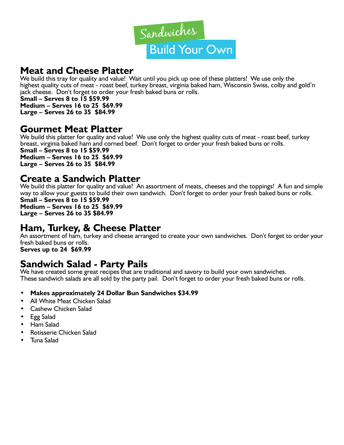

## **Meat and Cheese Platter**

We build this tray for quality and value! Wait until you pick up one of these platters! We use only the highest quality cuts of meat - roast beef, turkey breast, virginia baked ham, Wisconsin Swiss, colby and gold'n jack cheese. Don't forget to order your fresh baked buns or rolls.

**Small – Serves 8 to 15 \$59.99 Medium – Serves 16 to 25 \$69.99 Large – Serves 26 to 35 \$84.99**

#### **Gourmet Meat Platter**

We build this platter for quality and value! We use only the highest quality cuts of meat - roast beef, turkey breast, virginia baked ham and corned beef. Don't forget to order your fresh baked buns or rolls. **Small – Serves 8 to 15 \$59.99 Medium – Serves 16 to 25 \$69.99 Large – Serves 26 to 35 \$84.99**

#### **Create a Sandwich Platter**

We build this platter for quality and value! An assortment of meats, cheeses and the toppings! A fun and simple way to allow your guests to build their own sandwich. Don't forget to order your fresh baked buns or rolls. **Small – Serves 8 to 15 \$59.99 Medium – Serves 16 to 25 \$69.99 Large – Serves 26 to 35 \$84.99**

#### **Ham, Turkey, & Cheese Platter**

An assortment of ham, turkey and cheese arranged to create your own sandwiches. Don't forget to order your fresh baked buns or rolls.

## **Serves up to 24 \$69.99**

#### **Sandwich Salad - Party Pails**

We have created some great recipes that are traditional and savory to build your own sandwiches. These sandwich salads are all sold by the party pail. Don't forget to order your fresh baked buns or rolls.

- **• Makes approximately 24 Dollar Bun Sandwiches \$34.99**
- All White Meat Chicken Salad
- Cashew Chicken Salad
- Egg Salad
- Ham Salad
- Rotisserie Chicken Salad
- Tuna Salad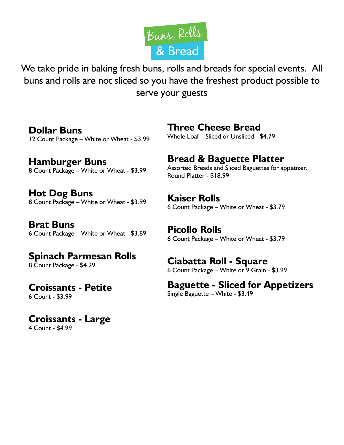

We take pride in baking fresh buns, rolls and breads for special events. All buns and rolls are not sliced so you have the freshest product possible to serve your guests

**Dollar Buns** 12 Count Package – White or Wheat - \$3.99

**Hamburger Buns** 8 Count Package – White or Wheat - \$3.99

**Hot Dog Buns** 8 Count Package – White or Wheat - \$3.99

**Brat Buns** 6 Count Package – White or Wheat - \$3.89

#### **Spinach Parmesan Rolls** 8 Count Package - \$4.29

#### **Croissants - Petite** 6 Count - \$3.99

## **Croissants - Large**

4 Count - \$4.99

## **Three Cheese Bread**

Whole Loaf – Sliced or Unsliced - \$4.79

## **Bread & Baguette Platter**

Assorted Breads and Sliced Baguettes for appetizer. Round Platter - \$18.99

**Kaiser Rolls**

6 Count Package – White or Wheat - \$3.79

**Picollo Rolls** 6 Count Package – White or Wheat - \$3.79

## **Ciabatta Roll - Square**

6 Count Package – White or 9 Grain - \$3.99

**Baguette - Sliced for Appetizers** Single Baguette – White - \$3.49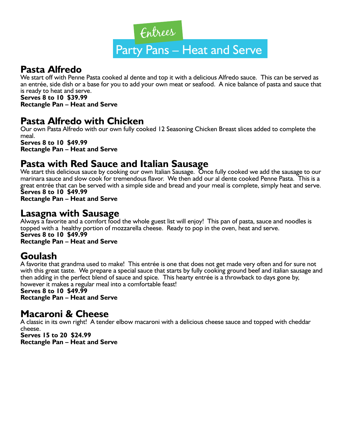

## **Pasta Alfredo**

We start off with Penne Pasta cooked al dente and top it with a delicious Alfredo sauce. This can be served as an entrée, side dish or a base for you to add your own meat or seafood. A nice balance of pasta and sauce that is ready to heat and serve.

**Serves 8 to 10 \$39.99 Rectangle Pan – Heat and Serve**

#### **Pasta Alfredo with Chicken**

Our own Pasta Alfredo with our own fully cooked 12 Seasoning Chicken Breast slices added to complete the meal.

**Serves 8 to 10 \$49.99 Rectangle Pan – Heat and Serve**

#### **Pasta with Red Sauce and Italian Sausage**

We start this delicious sauce by cooking our own Italian Sausage. Once fully cooked we add the sausage to our marinara sauce and slow cook for tremendous flavor. We then add our al dente cooked Penne Pasta. This is a great entrée that can be served with a simple side and bread and your meal is complete, simply heat and serve. **Serves 8 to 10 \$49.99**

**Rectangle Pan – Heat and Serve**

#### **Lasagna with Sausage**

Always a favorite and a comfort food the whole guest list will enjoy! This pan of pasta, sauce and noodles is topped with a healthy portion of mozzarella cheese. Ready to pop in the oven, heat and serve. **Serves 8 to 10 \$49.99 Rectangle Pan – Heat and Serve**

## **Goulash**

A favorite that grandma used to make! This entrée is one that does not get made very often and for sure not with this great taste. We prepare a special sauce that starts by fully cooking ground beef and italian sausage and then adding in the perfect blend of sauce and spice. This hearty entrée is a throwback to days gone by, however it makes a regular meal into a comfortable feast!

#### **Serves 8 to 10 \$49.99**

**Rectangle Pan – Heat and Serve**

#### **Macaroni & Cheese**

A classic in its own right! A tender elbow macaroni with a delicious cheese sauce and topped with cheddar cheese.

**Serves 15 to 20 \$24.99 Rectangle Pan – Heat and Serve**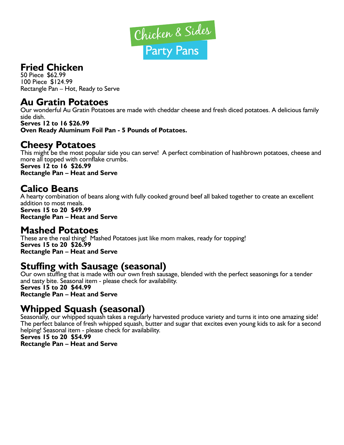

## **Fried Chicken**

50 Piece \$62.99 100 Piece \$124.99 Rectangle Pan – Hot, Ready to Serve

#### **Au Gratin Potatoes**

Our wonderful Au Gratin Potatoes are made with cheddar cheese and fresh diced potatoes. A delicious family side dish. **Serves 12 to 16 \$26.99**

**Oven Ready Aluminum Foil Pan - 5 Pounds of Potatoes.**

## **Cheesy Potatoes**

This might be the most popular side you can serve! A perfect combination of hashbrown potatoes, cheese and more all topped with cornflake crumbs.

**Serves 12 to 16 \$26.99 Rectangle Pan – Heat and Serve**

## **Calico Beans**

A hearty combination of beans along with fully cooked ground beef all baked together to create an excellent addition to most meals. **Serves 15 to 20 \$49.99 Rectangle Pan – Heat and Serve**

#### **Mashed Potatoes**

These are the real thing! Mashed Potatoes just like mom makes, ready for topping! **Serves 15 to 20 \$26.99 Rectangle Pan – Heat and Serve**

## **Stuffing with Sausage (seasonal)**

Our own stuffing that is made with our own fresh sausage, blended with the perfect seasonings for a tender and tasty bite. Seasonal item - please check for availability. **Serves 15 to 20 \$44.99 Rectangle Pan – Heat and Serve**

## **Whipped Squash (seasonal)**

Seasonally, our whipped squash takes a regularly harvested produce variety and turns it into one amazing side! The perfect balance of fresh whipped squash, butter and sugar that excites even young kids to ask for a second helping! Seasonal item - please check for availability.

**Serves 15 to 20 \$54.99 Rectangle Pan – Heat and Serve**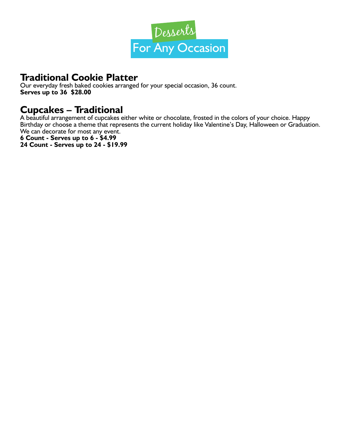

## **Traditional Cookie Platter**

Our everyday fresh baked cookies arranged for your special occasion, 36 count. **Serves up to 36 \$28.00**

#### **Cupcakes – Traditional**

A beautiful arrangement of cupcakes either white or chocolate, frosted in the colors of your choice. Happy Birthday or choose a theme that represents the current holiday like Valentine's Day, Halloween or Graduation. We can decorate for most any event.

**6 Count - Serves up to 6 - \$4.99 24 Count - Serves up to 24 - \$19.99**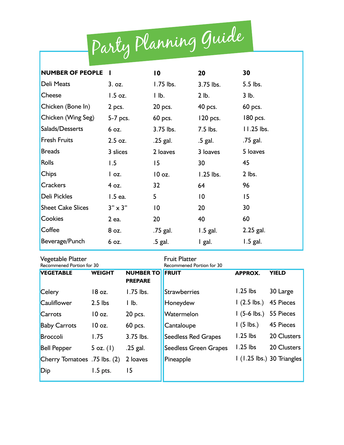|                          | Party Planning Guide         |                  |                 |            |
|--------------------------|------------------------------|------------------|-----------------|------------|
|                          |                              |                  |                 |            |
| <b>NUMBER OF PEOPLE</b>  |                              | $\overline{0}$   | 20              | 30         |
| <b>Deli Meats</b>        | 3.0z.                        | $1.75$ lbs.      | 3.75 lbs.       | 5.5 lbs.   |
| Cheese                   | $1.5$ oz.                    | $\mathsf{I}$ lb. | 2 lb.           | 3 lb.      |
| Chicken (Bone In)        | 2 pcs.                       | 20 pcs.          | 40 pcs.         | 60 pcs.    |
| Chicken (Wing Seg)       | 5-7 pcs.                     | 60 pcs.          | 120 pcs.        | 180 pcs.   |
| Salads/Desserts          | 6 oz.                        | 3.75 lbs.        | 7.5 lbs.        | 11.25 lbs. |
| <b>Fresh Fruits</b>      | $2.5$ oz.                    | .25 gal.         | .5 gal.         | .75 gal.   |
| <b>Breads</b>            | 3 slices                     | 2 loaves         | 3 loaves        | 5 loaves   |
| <b>Rolls</b>             | 1.5                          | 15               | 30              | 45         |
| Chips                    | $\overline{\phantom{a}}$ oz. | 10 oz.           | $1.25$ lbs.     | 2 lbs.     |
| <b>Crackers</b>          | 4 oz.                        | 32               | 64              | 96         |
| <b>Deli Pickles</b>      | 1.5 ea.                      | 5                | $\overline{10}$ | 15         |
| <b>Sheet Cake Slices</b> | $3" \times 3"$               | 10               | 20              | 30         |
| Cookies                  | 2 ea.                        | 20               | 40              | 60         |
| Coffee                   | 8 oz.                        | .75 gal.         | $1.5$ gal.      | 2.25 gal.  |
| Beverage/Punch           | 6 oz.                        | .5 gal.          | I gal.          | $1.5$ gal. |

| Vegetable Platter<br>Recommened Portion for 30 |               |                                    | <b>Fruit Platter</b><br>Recommened Portion for 30 |                        |                            |  |
|------------------------------------------------|---------------|------------------------------------|---------------------------------------------------|------------------------|----------------------------|--|
| <b>VEGETABLE</b>                               | <b>WEIGHT</b> | <b>NUMBER TO</b><br><b>PREPARE</b> | <b>FRUIT</b>                                      | <b>APPROX.</b>         | <b>YIELD</b>               |  |
| <b>Celery</b>                                  | 18 oz.        | $1.75$ lbs.                        | Strawberries                                      | $1.25$ lbs             | 30 Large                   |  |
| <b>Cauliflower</b>                             | $2.5$ lbs     | $\mathsf{I}$ lb.                   | Honeydew                                          | $(2.5 \, \text{lbs.})$ | 45 Pieces                  |  |
| Carrots                                        | 10 oz.        | 20 pcs.                            | Watermelon                                        | $1(5-6$ lbs.)          | 55 Pieces                  |  |
| <b>Baby Carrots</b>                            | 10 oz.        | 60 pcs.                            | Cantaloupe                                        | $\sqrt{5}$ lbs.)       | <b>45 Pieces</b>           |  |
| <b>Broccoli</b>                                | 1.75          | 3.75 lbs.                          | <b>Seedless Red Grapes</b>                        | $1.25$ lbs             | 20 Clusters                |  |
| <b>Bell Pepper</b>                             | $5$ oz. $(1)$ | $.25$ gal.                         | <b>Seedless Green Grapes</b>                      | $1.25$ lbs             | 20 Clusters                |  |
| Cherry Tomatoes .75 lbs. (2)                   |               | 2 loaves                           | Pineapple                                         |                        | I (1.25 lbs.) 30 Triangles |  |
| Dip                                            | 1.5 pts.      | 15                                 |                                                   |                        |                            |  |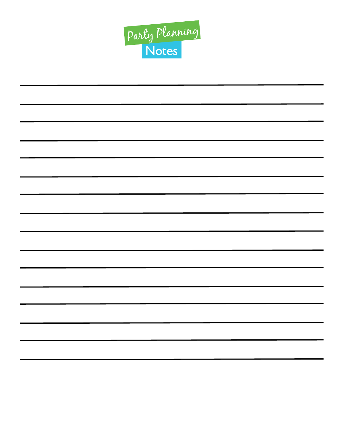

| <b>Contract Contract Contract Contract</b> |  |  |
|--------------------------------------------|--|--|
|                                            |  |  |
| $\overline{\phantom{0}}$                   |  |  |
|                                            |  |  |
| $\sim$                                     |  |  |
|                                            |  |  |
|                                            |  |  |
|                                            |  |  |
|                                            |  |  |
|                                            |  |  |